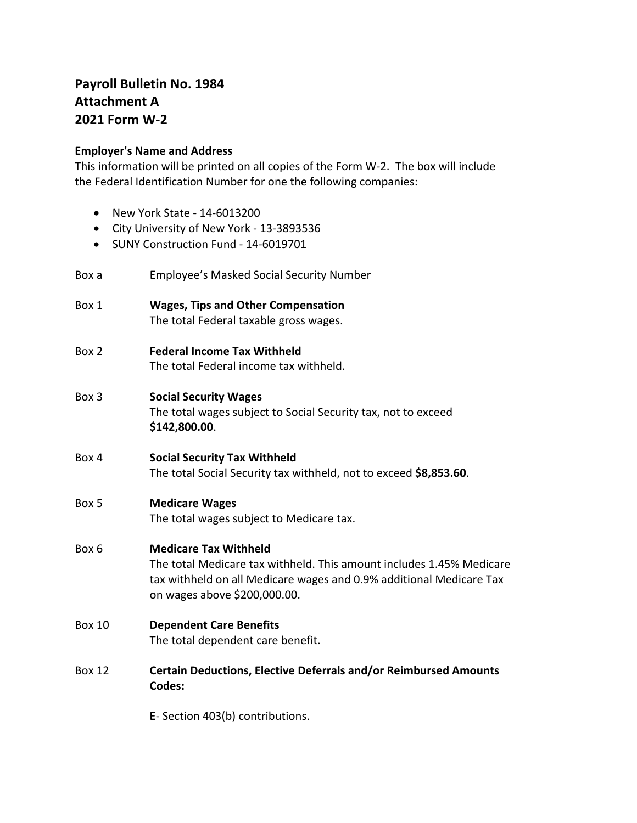# **Payroll Bulletin No. 1984 Attachment A 2021 Form W‐2**

### **Employer's Name and Address**

This information will be printed on all copies of the Form W‐2. The box will include the Federal Identification Number for one the following companies:

- New York State 14‐6013200
- City University of New York 13‐3893536
- SUNY Construction Fund 14-6019701
- Box a Employee's Masked Social Security Number
- Box 1 **Wages, Tips and Other Compensation** The total Federal taxable gross wages.
- Box 2 **Federal Income Tax Withheld** The total Federal income tax withheld.
- Box 3 **Social Security Wages** The total wages subject to Social Security tax, not to exceed **\$142,800.00**.
- Box 4 **Social Security Tax Withheld** The total Social Security tax withheld, not to exceed **\$8,853.60**.

## Box 5 **Medicare Wages**

The total wages subject to Medicare tax.

## Box 6 **Medicare Tax Withheld**

The total Medicare tax withheld. This amount includes 1.45% Medicare tax withheld on all Medicare wages and 0.9% additional Medicare Tax on wages above \$200,000.00.

Box 10 **Dependent Care Benefits**

The total dependent care benefit.

Box 12 **Certain Deductions, Elective Deferrals and/or Reimbursed Amounts Codes:**

**E**‐ Section 403(b) contributions.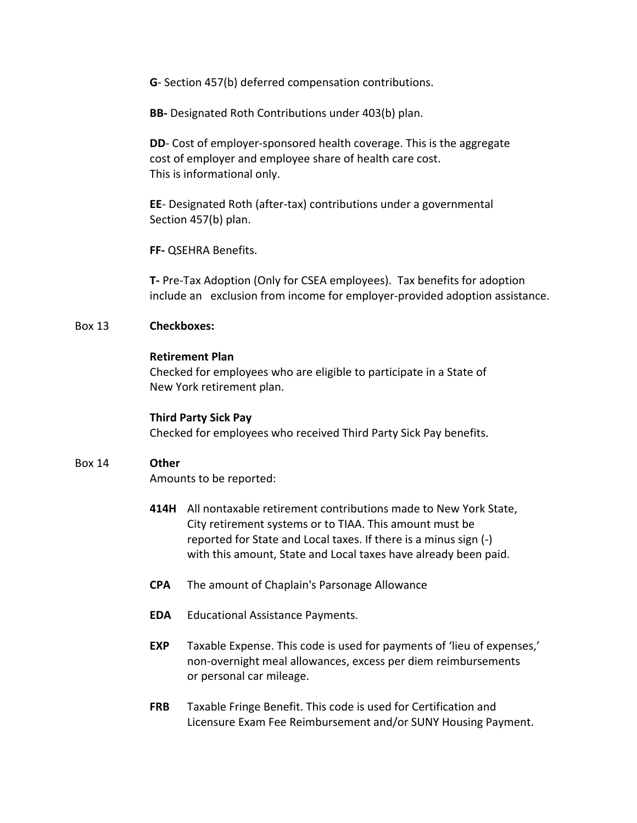**G**‐ Section 457(b) deferred compensation contributions.

**BB-** Designated Roth Contributions under 403(b) plan.

**DD**- Cost of employer-sponsored health coverage. This is the aggregate cost of employer and employee share of health care cost. This is informational only.

**EE**‐ Designated Roth (after‐tax) contributions under a governmental Section 457(b) plan.

**FF-** QSEHRA Benefits.

**T-** Pre-Tax Adoption (Only for CSEA employees). Tax benefits for adoption include an exclusion from income for employer-provided adoption assistance.

#### Box 13 **Checkboxes:**

#### **Retirement Plan**

Checked for employees who are eligible to participate in a State of New York retirement plan.

#### **Third Party Sick Pay**

Checked for employees who received Third Party Sick Pay benefits.

### Box 14 **Other**

Amounts to be reported:

- **414H** All nontaxable retirement contributions made to New York State, City retirement systems or to TIAA. This amount must be reported for State and Local taxes. If there is a minus sign (‐) with this amount, State and Local taxes have already been paid.
- **CPA** The amount of Chaplain's Parsonage Allowance
- **EDA** Educational Assistance Payments.
- **EXP** Taxable Expense. This code is used for payments of 'lieu of expenses,' non‐overnight meal allowances, excess per diem reimbursements or personal car mileage.
- **FRB** Taxable Fringe Benefit. This code is used for Certification and Licensure Exam Fee Reimbursement and/or SUNY Housing Payment.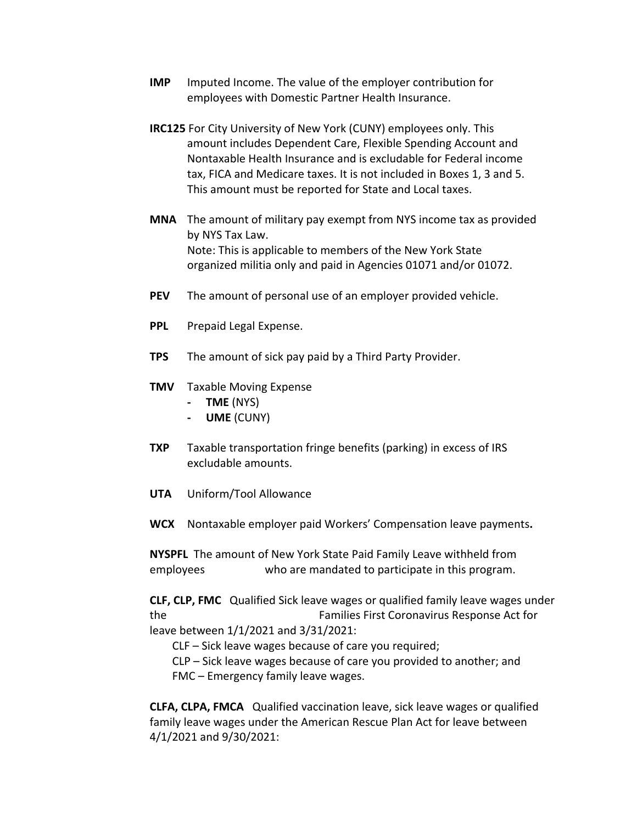- **IMP** Imputed Income. The value of the employer contribution for employees with Domestic Partner Health Insurance.
- **IRC125** For City University of New York (CUNY) employees only. This amount includes Dependent Care, Flexible Spending Account and Nontaxable Health Insurance and is excludable for Federal income tax, FICA and Medicare taxes. It is not included in Boxes 1, 3 and 5. This amount must be reported for State and Local taxes.
- **MNA** The amount of military pay exempt from NYS income tax as provided by NYS Tax Law. Note: This is applicable to members of the New York State organized militia only and paid in Agencies 01071 and/or 01072.
- **PEV** The amount of personal use of an employer provided vehicle.
- **PPL** Prepaid Legal Expense.
- **TPS** The amount of sick pay paid by a Third Party Provider.
- **TMV** Taxable Moving Expense
	- **- TME** (NYS)
	- **- UME** (CUNY)
- **TXP** Taxable transportation fringe benefits (parking) in excess of IRS excludable amounts.
- **UTA** Uniform/Tool Allowance
- **WCX** Nontaxable employer paid Workers' Compensation leave payments**.**

**NYSPFL** The amount of New York State Paid Family Leave withheld from employees who are mandated to participate in this program.

**CLF, CLP, FMC** Qualified Sick leave wages or qualified family leave wages under the Families First Coronavirus Response Act for leave between 1/1/2021 and 3/31/2021:

- CLF Sick leave wages because of care you required;
- CLP Sick leave wages because of care you provided to another; and FMC – Emergency family leave wages.

**CLFA, CLPA, FMCA** Qualified vaccination leave, sick leave wages or qualified family leave wages under the American Rescue Plan Act for leave between 4/1/2021 and 9/30/2021: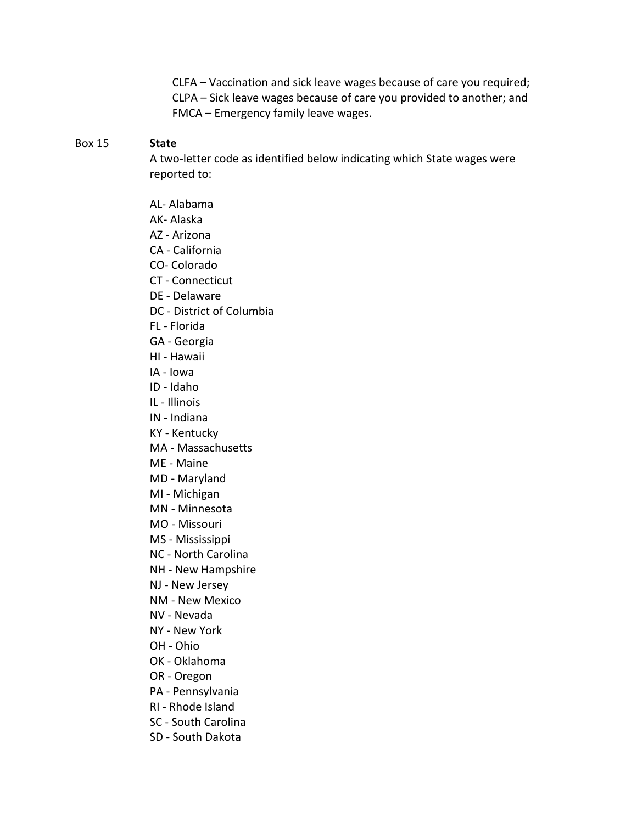CLFA – Vaccination and sick leave wages because of care you required; CLPA – Sick leave wages because of care you provided to another; and FMCA – Emergency family leave wages.

#### Box 15 **State**

A two‐letter code as identified below indicating which State wages were reported to:

- AL- Alabama
- AK- Alaska
- AZ Arizona
- CA ‐ California
- CO- Colorado
- CT Connecticut
- DE Delaware
- DC ‐ District of Columbia
- FL ‐ Florida
- GA ‐ Georgia
- HI Hawaii
- IA Iowa
- ID Idaho
- IL ‐ Illinois
- IN Indiana
- KY Kentucky
- MA ‐ Massachusetts
- ME Maine
- MD ‐ Maryland
- MI Michigan
- MN Minnesota
- MO Missouri
- MS Mississippi
- NC North Carolina
- NH New Hampshire
- NJ ‐ New Jersey
- NM New Mexico
- NV Nevada
- NY ‐ New York
- OH ‐ Ohio
- OK Oklahoma
- OR Oregon
- PA ‐ Pennsylvania
- RI Rhode Island
- SC ‐ South Carolina
- SD South Dakota